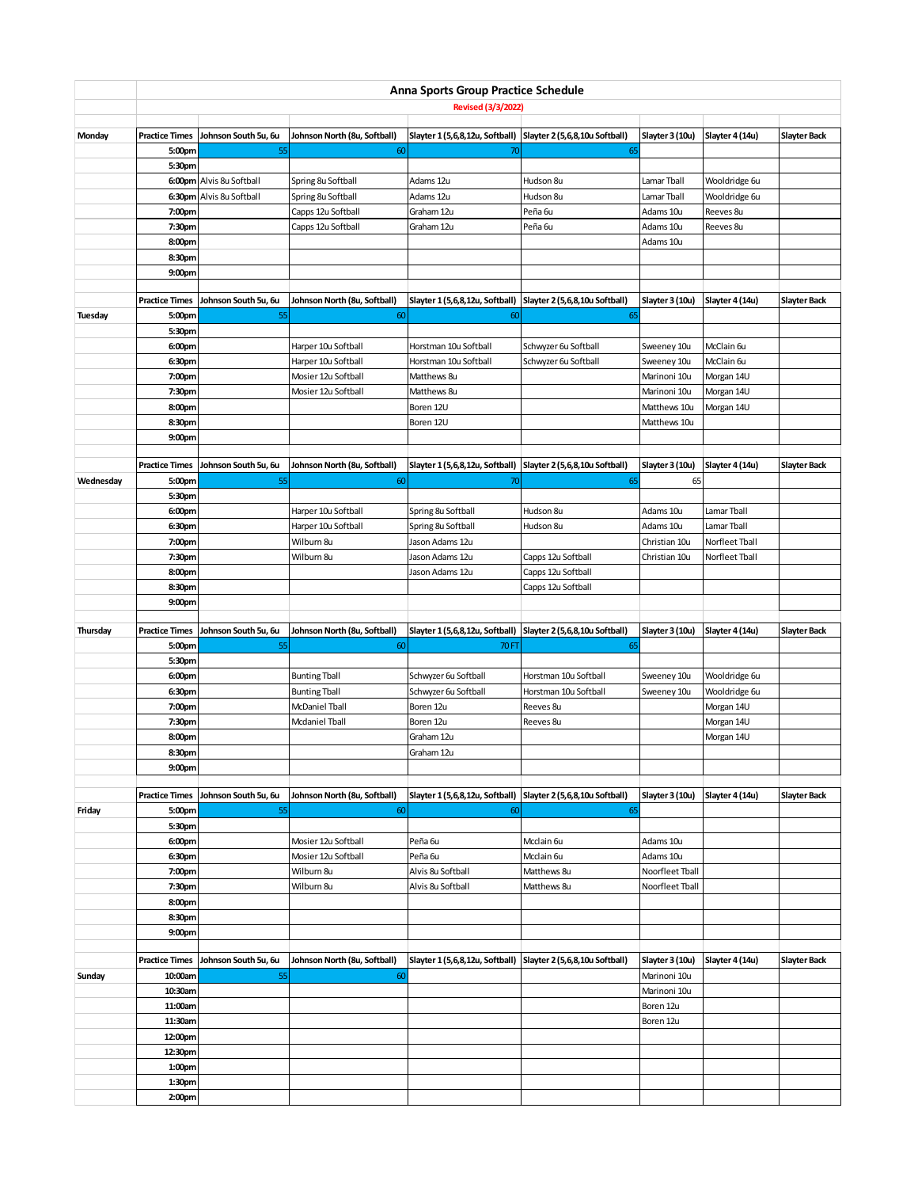|                | Anna Sports Group Practice Schedule<br><b>Revised (3/3/2022)</b> |                            |                                    |                                                                  |                                |                           |                 |                     |  |  |
|----------------|------------------------------------------------------------------|----------------------------|------------------------------------|------------------------------------------------------------------|--------------------------------|---------------------------|-----------------|---------------------|--|--|
|                |                                                                  |                            |                                    |                                                                  |                                |                           |                 |                     |  |  |
| Monday         | <b>Practice Times</b>                                            | Johnson South 5u, 6u       | Johnson North (8u, Softball)       | Slayter 1 (5,6,8,12u, Softball) Slayter 2 (5,6,8,10u Softball)   |                                | Slayter 3 (10u)           | Slayter 4 (14u) | <b>Slayter Back</b> |  |  |
|                | 5:00pm                                                           | 55                         | 60                                 | 70                                                               | 65                             |                           |                 |                     |  |  |
|                | 5:30pm                                                           | 6:00pm Alvis 8u Softball   | Spring 8u Softball                 | Adams 12u                                                        | Hudson 8u                      | Lamar Tball               | Wooldridge 6u   |                     |  |  |
|                |                                                                  | 6:30pm Alvis 8u Softball   | Spring 8u Softball                 | Adams 12u                                                        | Hudson 8u                      | Lamar Tball               | Wooldridge 6u   |                     |  |  |
|                | 7:00pm                                                           |                            | Capps 12u Softball                 | Graham 12u                                                       | Peña <sub>6u</sub>             | Adams 10u                 | Reeves 8u       |                     |  |  |
|                | 7:30pm                                                           |                            | Capps 12u Softball                 | Graham 12u                                                       | Peña 6u                        | Adams 10u                 | Reeves 8u       |                     |  |  |
|                | 8:00pm                                                           |                            |                                    |                                                                  |                                | Adams 10u                 |                 |                     |  |  |
|                | 8:30pm                                                           |                            |                                    |                                                                  |                                |                           |                 |                     |  |  |
|                | 9:00pm                                                           |                            |                                    |                                                                  |                                |                           |                 |                     |  |  |
|                |                                                                  |                            |                                    |                                                                  |                                |                           |                 |                     |  |  |
|                | <b>Practice Times</b>                                            | Johnson South 5u, 6u       | Johnson North (8u, Softball)       | Slayter 1 (5,6,8,12u, Softball)                                  | Slayter 2 (5,6,8,10u Softball) | Slayter 3 (10u)           | Slayter 4 (14u) | <b>Slayter Back</b> |  |  |
| <b>Tuesday</b> | 5:00pm                                                           | 55                         | 60                                 | 60                                                               | 65                             |                           |                 |                     |  |  |
|                | 5:30pm                                                           |                            |                                    |                                                                  |                                |                           |                 |                     |  |  |
|                | 6:00pm                                                           |                            | Harper 10u Softball                | Horstman 10u Softball                                            | Schwyzer 6u Softball           | Sweeney 10u               | McClain 6u      |                     |  |  |
|                | 6:30pm                                                           |                            | Harper 10u Softball                | Horstman 10u Softball                                            | Schwyzer 6u Softball           | Sweeney 10u               | McClain 6u      |                     |  |  |
|                | 7:00pm                                                           |                            | Mosier 12u Softball                | Matthews 8u                                                      |                                | Marinoni 10u              | Morgan 14U      |                     |  |  |
|                | 7:30pm                                                           |                            | Mosier 12u Softball                | Matthews 8u                                                      |                                | Marinoni 10u              | Morgan 14U      |                     |  |  |
|                | 8:00pm                                                           |                            |                                    | Boren 12U                                                        |                                | Matthews 10u              | Morgan 14U      |                     |  |  |
|                | 8:30pm                                                           |                            |                                    | Boren 12U                                                        |                                | Matthews 10u              |                 |                     |  |  |
|                | 9:00pm                                                           |                            |                                    |                                                                  |                                |                           |                 |                     |  |  |
|                | <b>Practice Times</b>                                            | Johnson South 5u, 6u       | Johnson North (8u, Softball)       | Slayter 1 (5,6,8,12u, Softball)                                  | Slayter 2 (5,6,8,10u Softball) | Slayter 3 (10u)           | Slayter 4 (14u) | <b>Slayter Back</b> |  |  |
| Wednesday      | 5:00pm                                                           | 55                         | 60                                 | 70                                                               | 65                             | 65                        |                 |                     |  |  |
|                | 5:30pm                                                           |                            |                                    |                                                                  |                                |                           |                 |                     |  |  |
|                | 6:00pm                                                           |                            | Harper 10u Softball                | Spring 8u Softball                                               | Hudson 8u                      | Adams 10u                 | Lamar Tball     |                     |  |  |
|                | 6:30pm                                                           |                            | Harper 10u Softball                | Spring 8u Softball                                               | Hudson 8u                      | Adams 10u                 | Lamar Tball     |                     |  |  |
|                | 7:00pm                                                           |                            | Wilburn 8u                         | Jason Adams 12u                                                  |                                | Christian 10u             | Norfleet Tball  |                     |  |  |
|                | 7:30pm                                                           |                            | Wilburn 8u                         | Jason Adams 12u                                                  | Capps 12u Softball             | Christian 10u             | Norfleet Tball  |                     |  |  |
|                | 8:00pm                                                           |                            |                                    | Jason Adams 12u                                                  | Capps 12u Softball             |                           |                 |                     |  |  |
|                | 8:30pm                                                           |                            |                                    |                                                                  | Capps 12u Softball             |                           |                 |                     |  |  |
|                | 9:00pm                                                           |                            |                                    |                                                                  |                                |                           |                 |                     |  |  |
|                |                                                                  |                            |                                    |                                                                  |                                |                           |                 |                     |  |  |
| Thursday       | <b>Practice Times</b>                                            | Johnson South 5u, 6u       | Johnson North (8u, Softball)       | Slayter 1 (5,6,8,12u, Softball)                                  | Slayter 2 (5,6,8,10u Softball) | Slayter 3 (10u)           | Slayter 4 (14u) | <b>Slayter Back</b> |  |  |
|                | 5:00pm                                                           | 55                         | 60                                 | 70 FT                                                            | 65                             |                           |                 |                     |  |  |
|                | 5:30pm                                                           |                            |                                    |                                                                  |                                |                           |                 |                     |  |  |
|                | 6:00pm                                                           |                            | <b>Bunting Tball</b>               | Schwyzer 6u Softball                                             | Horstman 10u Softball          | Sweeney 10u               | Wooldridge 6u   |                     |  |  |
|                | 6:30pm                                                           |                            | <b>Bunting Tball</b>               | Schwyzer 6u Softball                                             | Horstman 10u Softball          | Sweeney 10u               | Wooldridge 6u   |                     |  |  |
|                | 7:00pm                                                           |                            | <b>McDaniel Tball</b>              | Boren 12u                                                        | Reeves 8u                      |                           | Morgan 14U      |                     |  |  |
|                | 7:30pm                                                           |                            | <b>Mcdaniel Tball</b>              | Boren 12u                                                        | Reeves 8u                      |                           | Morgan 14U      |                     |  |  |
|                | 8:00pm<br>8:30pm                                                 |                            |                                    | Graham 12u<br>Graham 12u                                         |                                |                           | Morgan 14U      |                     |  |  |
|                | 9:00 <sub>pm</sub>                                               |                            |                                    |                                                                  |                                |                           |                 |                     |  |  |
|                |                                                                  |                            |                                    |                                                                  |                                |                           |                 |                     |  |  |
|                | <b>Practice Times</b>                                            | Johnson South 5u, 6u       | Johnson North (8u, Softball)       | Slayter 1 (5,6,8,12u, Softball)                                  | Slayter 2 (5,6,8,10u Softball) | Slayter 3 (10u)           | Slayter 4 (14u) | <b>Slayter Back</b> |  |  |
| Friday         | 5:00pm                                                           | 55                         | 60                                 | 60                                                               | 65                             |                           |                 |                     |  |  |
|                | 5:30pm                                                           |                            |                                    |                                                                  |                                |                           |                 |                     |  |  |
|                | 6:00pm                                                           |                            | Mosier 12u Softball                | Peña 6u                                                          | Mcclain 6u                     | Adams 10u                 |                 |                     |  |  |
|                | 6:30pm                                                           |                            | Mosier 12u Softball                | Peña 6u                                                          | Mcclain 6u                     | Adams 10u                 |                 |                     |  |  |
|                | 7:00pm                                                           |                            | Wilburn 8u                         | Alvis 8u Softball                                                | Matthews 8u                    | Noorfleet Tball           |                 |                     |  |  |
|                | 7:30pm                                                           |                            | Wilburn 8u                         | Alvis 8u Softball                                                | Matthews 8u                    | Noorfleet Tball           |                 |                     |  |  |
|                | 8:00pm                                                           |                            |                                    |                                                                  |                                |                           |                 |                     |  |  |
|                | 8:30pm                                                           |                            |                                    |                                                                  |                                |                           |                 |                     |  |  |
|                | 9:00pm                                                           |                            |                                    |                                                                  |                                |                           |                 |                     |  |  |
|                |                                                                  |                            |                                    |                                                                  |                                |                           |                 |                     |  |  |
|                | <b>Practice Times</b><br>10:00am                                 | Johnson South 5u, 6u<br>55 | Johnson North (8u, Softball)<br>60 | Slayter 1 (5,6,8,12u, Softball)   Slayter 2 (5,6,8,10u Softball) |                                | Slayter 3 (10u)           | Slayter 4 (14u) | Slayter Back        |  |  |
| Sunday         | 10:30am                                                          |                            |                                    |                                                                  |                                | Marinoni 10u              |                 |                     |  |  |
|                | 11:00am                                                          |                            |                                    |                                                                  |                                | Marinoni 10u<br>Boren 12u |                 |                     |  |  |
|                | 11:30am                                                          |                            |                                    |                                                                  |                                | Boren 12u                 |                 |                     |  |  |
|                | 12:00pm                                                          |                            |                                    |                                                                  |                                |                           |                 |                     |  |  |
|                | 12:30pm                                                          |                            |                                    |                                                                  |                                |                           |                 |                     |  |  |
|                | 1:00pm                                                           |                            |                                    |                                                                  |                                |                           |                 |                     |  |  |
|                | 1:30pm                                                           |                            |                                    |                                                                  |                                |                           |                 |                     |  |  |
|                | 2:00pm                                                           |                            |                                    |                                                                  |                                |                           |                 |                     |  |  |
|                |                                                                  |                            |                                    |                                                                  |                                |                           |                 |                     |  |  |